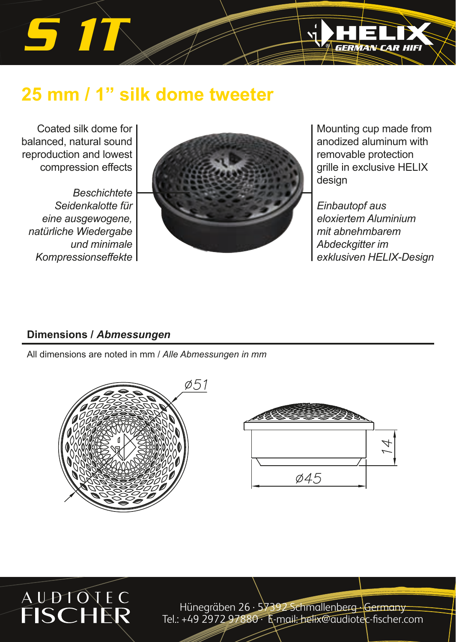# *S 1T*

### **25 mm / 1" silk dome tweeter**

Coated silk dome for balanced, natural sound reproduction and lowest compression effects

*Beschichtete Seidenkalotte für eine ausgewogene, natürliche Wiedergabe und minimale Kompressionseffekte* 



Mounting cup made from anodized aluminum with removable protection grille in exclusive HELIX design

**GERMAN CAR** 

*Einbautopf aus eloxiertem Aluminium mit abnehmbarem Abdeckgitter im exklusiven HELIX-Design*

### **Dimensions /** *Abmessungen*

All dimensions are noted in mm / *Alle Abmessungen in mm* 







Hünegräben 26 · 57392 Schmallenberg · Germany Tel.: +49 2972 97880 · E-mail: helix@audiotec-fischer.com